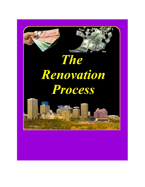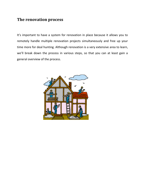# **The renovation process**

It's important to have a system for renovation in place because it allows you to remotely handle multiple renovation projects simultaneously and free up your time more for deal hunting. Although renovation is a very extensive area to learn, we'll break down the process in various steps, so that you can at least gain a general overview of the process.

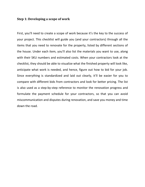#### **Step 1: Developing a scope of work**

First, you'll need to create a scope of work because it's the key to the success of your project. This checklist will guide you (and your contractors) through all the items that you need to renovate for the property, listed by different sections of the house. Under each item, you'll also list the materials you want to use, along with their SKU numbers and estimated costs. When your contractors look at the checklist, they should be able to visualize what the finished property will look like, anticipate what work is needed, and hence, figure out how to bid for your job. Since everything is standardized and laid out clearly, it'll be easier for you to compare with different bids from contractors and look for better pricing. The list is also used as a step-by-step reference to monitor the renovation progress and formulate the payment schedule for your contractors, so that you can avoid miscommunication and disputes during renovation, and save you money and time down the road.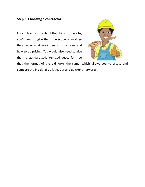# **Step 2: Choosing a contractor**

For contractors to submit their bids for the jobs, you'll need to give them the scope or work so they know what work needs to be done and how to do pricing. You would also need to give them a standardized, itemized quote form so



that the format of the bid looks the same, which allows you to assess and compare the bid details a lot easier and quicker afterwards.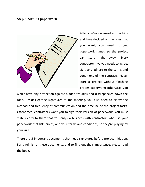#### **Step 3: Signing paperwork**



After you've reviewed all the bids and have decided on the ones that you want, you need to get paperwork signed so the project can start right away. Every contractor involved needs to agree, sign, and adhere to the terms and conditions of the contracts. Never start a project without finishing proper paperwork; otherwise, you

won't have any protection against hidden troubles and discrepancies down the road. Besides getting signatures at the meeting, you also need to clarify the method and frequency of communication and the timeline of the project tasks. Oftentimes, contractors want you to sign their version of paperwork. You must state clearly to them that you only do business with contractors who use your paperwork that lists prices, and your terms and conditions, so they're playing by your rules.

There are 5 important documents that need signatures before project initiation. For a full list of these documents, and to find out their importance, please read the book.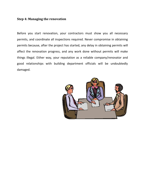# **Step 4: Managing the renovation**

Before you start renovation, your contractors must show you all necessary permits, and coordinate all inspections required. Never compromise in obtaining permits because, after the project has started, any delay in obtaining permits will affect the renovation progress, and any work done without permits will make things illegal. Either way, your reputation as a reliable company/renovator and good relationships with building department officials will be undoubtedly damaged.

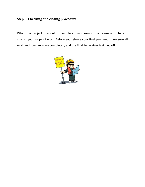# **Step 5: Checking and closing procedure**

When the project is about to complete, walk around the house and check it against your scope of work. Before you release your final payment, make sure all work and touch-ups are completed, and the final lien waiver is signed off.